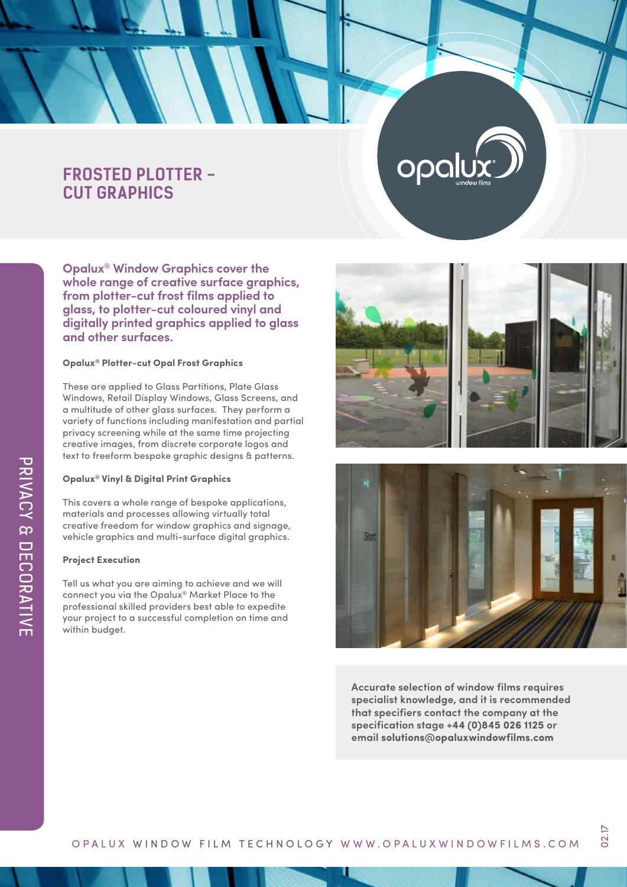## **FROSTED PLOTTER - CUT GRAPHICS**

**Opalux® Window Graphics cover the whole range of creative surface graphics, from plotter-cut frost films applied to glass, to plotter-cut coloured vinyl and digitally printed graphics applied to glass and other surfaces.**

#### **Opalux® Plotter-cut Opal Frost Graphics**

These are applied to Glass Partitions, Plate Glass Windows, Retail Display Windows, Glass Screens, and a multitude of other glass surfaces. They perform a variety of functions including manifestation and partial privacy screening while at the same time projecting creative images, from discrete corporate logos and text to freeform bespoke graphic designs & patterns.

### **Opalux® Vinyl & Digital Print Graphics**

This covers a whole range of bespoke applications, materials and processes allowing virtually total creative freedom for window graphics and signage, vehicle graphics and multi-surface digital graphics.

#### **Project Execution**

Tell us what you are aiming to achieve and we will connect you via the Opalux® Market Place to the professional skilled providers best able to expedite your project to a successful completion on time and within budget.



opal



**Accurate selection of window films requires specialist knowledge, and it is recommended that specifiers contact the company at the specification stage +44 (0)845 026 1125 or email solutions@opaluxwindowfilms.com**